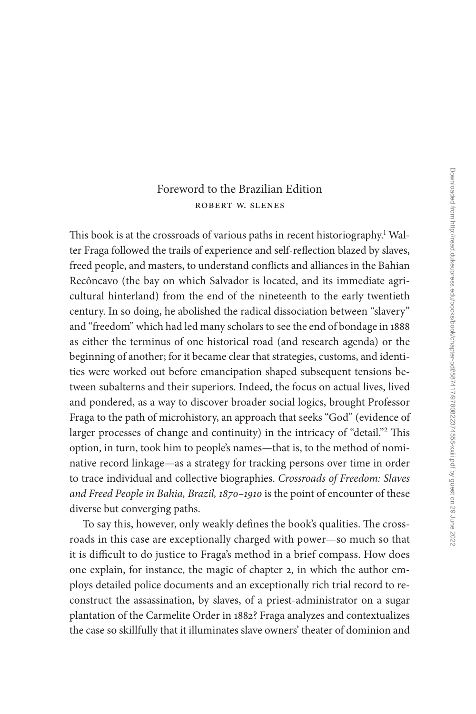## [Foreword to the Brazilian Edition](#page--1-0) Robert W. Slenes

This book is at the crossroads of various paths in recent historiography.<sup>1</sup> Walter Fraga followed the trails of experience and self-reflection blazed by slaves, freed people, and masters, to understand conflicts and alliances in the Bahian Recôncavo (the bay on which Salvador is located, and its immediate agricultural hinterland) from the end of the nineteenth to the early twentieth century. In so doing, he abolished the radical dissociation between "slavery" and "freedom" which had led many scholars to see the end of bondage in 1888 as either the terminus of one historical road (and research agenda) or the beginning of another; for it became clear that strategies, customs, and identities were worked out before emancipation shaped subsequent tensions between subalterns and their superiors. Indeed, the focus on actual lives, lived and pondered, as a way to discover broader social logics, brought Professor Fraga to the path of microhistory, an approach that seeks "God" (evidence of larger processes of change and continuity) in the intricacy of "detail."<sup>[2](#page--1-0)</sup> This option, in turn, took him to people's names—that is, to the method of nominative record linkage—as a strategy for tracking persons over time in order to trace individual and collective biographies. *Crossroads of Freedom: Slaves and Freed People in Bahia, Brazil, 1870–1910* is the point of encounter of these diverse but converging paths.

To say this, however, only weakly defines the book's qualities. The crossroads in this case are exceptionally charged with power—so much so that it is difficult to do justice to Fraga's method in a brief compass. How does one explain, for instance, the magic of chapter 2, in which the author employs detailed police documents and an exceptionally rich trial record to reconstruct the assassination, by slaves, of a priest-administrator on a sugar plantation of the Carmelite Order in 1882? Fraga analyzes and contextualizes the case so skillfully that it illuminates slave owners' theater of dominion and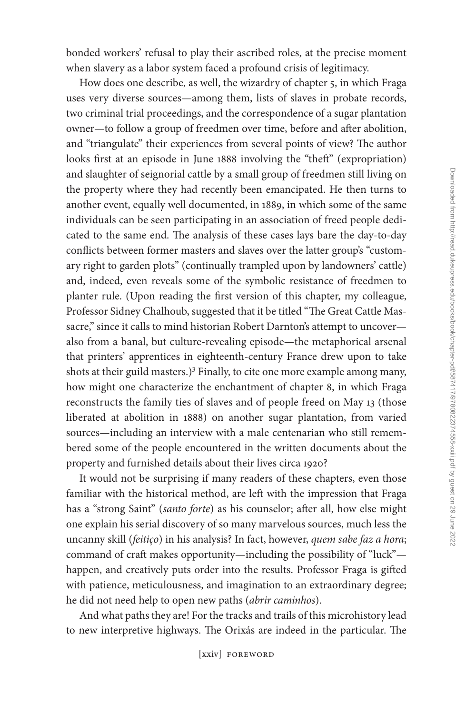bonded workers' refusal to play their ascribed roles, at the precise moment when slavery as a labor system faced a profound crisis of legitimacy.

How does one describe, as well, the wizardry of chapter 5, in which Fraga uses very diverse sources—among them, lists of slaves in probate records, two criminal trial proceedings, and the correspondence of a sugar plantation owner—to follow a group of freedmen over time, before and after abolition, and "triangulate" their experiences from several points of view? The author looks first at an episode in June 1888 involving the "theft" (expropriation) and slaughter of seignorial cattle by a small group of freedmen still living on the property where they had recently been emancipated. He then turns to another event, equally well documented, in 1889, in which some of the same individuals can be seen participating in an association of freed people dedicated to the same end. The analysis of these cases lays bare the day-to-day conflicts between former masters and slaves over the latter group's "customary right to garden plots" (continually trampled upon by landowners' cattle) and, indeed, even reveals some of the symbolic resistance of freedmen to planter rule. (Upon reading the first version of this chapter, my colleague, Professor Sidney Chalhoub, suggested that it be titled "The Great Cattle Massacre," since it calls to mind historian Robert Darnton's attempt to uncoveralso from a banal, but culture-revealing episode—the metaphorical arsenal that printers' apprentices in eighteenth-century France drew upon to take shots at their guild masters.)<sup>3</sup> Finally, to cite one more example among many, how might one characterize the enchantment of chapter 8, in which Fraga reconstructs the family ties of slaves and of people freed on May 13 (those liberated at abolition in 1888) on another sugar plantation, from varied sources—including an interview with a male centenarian who still remembered some of the people encountered in the written documents about the property and furnished details about their lives circa 1920?

It would not be surprising if many readers of these chapters, even those familiar with the historical method, are left with the impression that Fraga has a "strong Saint" (*santo forte*) as his counselor; after all, how else might one explain his serial discovery of so many marvelous sources, much less the uncanny skill (*feitiço*) in his analysis? In fact, however, *quem sabe faz a hora*; command of craft makes opportunity—including the possibility of "luck" happen, and creatively puts order into the results. Professor Fraga is gifted with patience, meticulousness, and imagination to an extraordinary degree; he did not need help to open new paths (*abrir caminhos*).

And what paths they are! For the tracks and trails of this microhistory lead to new interpretive highways. The Orixás are indeed in the particular. The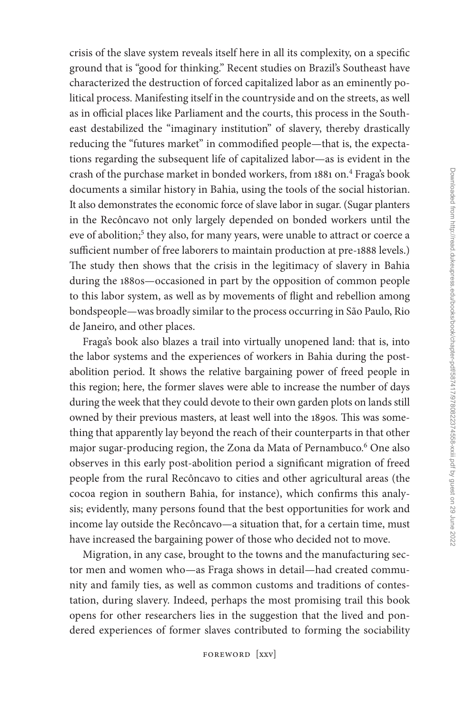crisis of the slave system reveals itself here in all its complexity, on a specific ground that is "good for thinking." Recent studies on Brazil's Southeast have characterized the destruction of forced capitalized labor as an eminently political process. Manifesting itself in the countryside and on the streets, as well as in official places like Parliament and the courts, this process in the Southeast destabilized the "imaginary institution" of slavery, thereby drastically reducing the "futures market" in commodified people—that is, the expectations regarding the subsequent life of capitalized labor—as is evident in the crash of the purchase market in bonded workers, from 1881 on.<sup>[4](#page--1-0)</sup> Fraga's book documents a similar history in Bahia, using the tools of the social historian. It also demonstrates the economic force of slave labor in sugar. (Sugar planters in the Recôncavo not only largely depended on bonded workers until the eve of abolition;<sup>[5](#page--1-0)</sup> they also, for many years, were unable to attract or coerce a sufficient number of free laborers to maintain production at pre-1888 levels.) The study then shows that the crisis in the legitimacy of slavery in Bahia during the 1880s—occasioned in part by the opposition of common people to this labor system, as well as by movements of flight and rebellion among bondspeople—was broadly similar to the process occurring in São Paulo, Rio de Janeiro, and other places.

Fraga's book also blazes a trail into virtually unopened land: that is, into the labor systems and the experiences of workers in Bahia during the postabolition period. It shows the relative bargaining power of freed people in this region; here, the former slaves were able to increase the number of days during the week that they could devote to their own garden plots on lands still owned by their previous masters, at least well into the 1890s. This was something that apparently lay beyond the reach of their counterparts in that other major sugar-producing region, the Zona da Mata of Pernambuco[.6](#page--1-0) One also observes in this early post-abolition period a significant migration of freed people from the rural Recôncavo to cities and other agricultural areas (the cocoa region in southern Bahia, for instance), which confirms this analysis; evidently, many persons found that the best opportunities for work and income lay outside the Recôncavo—a situation that, for a certain time, must have increased the bargaining power of those who decided not to move.

Migration, in any case, brought to the towns and the manufacturing sector men and women who—as Fraga shows in detail—had created community and family ties, as well as common customs and traditions of contestation, during slavery. Indeed, perhaps the most promising trail this book opens for other researchers lies in the suggestion that the lived and pondered experiences of former slaves contributed to forming the sociability